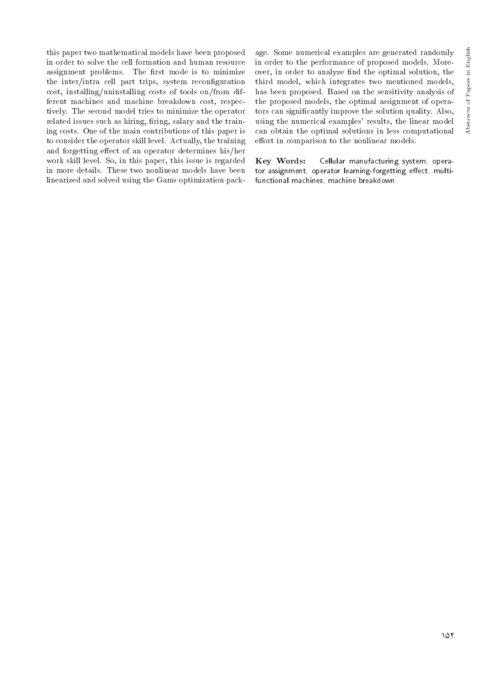this paper two mathematical models have been proposed in order to solve the cell formation and human resource assignment problems. The first mode is to minimize the inter/intra cell part trips, system reconfiguration cost, installing/uninstalling costs of tools on/from different machines and machine breakdown cost, respectively. The second model tries to minimize the operator related issues such as hiring, firing, salary and the training costs. One of the main contributions of this paper is to consider the operator skill level. Actually, the training and forgetting effect of an operator determines his/her work skill level. So, in this paper, this issue is regarded in more details. These two nonlinear models have been linearized and solved using the Gams optimization pack-

age. Some numerical examples are generated randomly in order to the performance of proposed models. Moreover, in order to analyze find the optimal solution, the third model, which integrates two mentioned models, has been proposed. Based on the sensitivity analysis of the proposed models, the optimal assignment of operators can signicantly improve the solution quality. Also, using the numerical examples' results, the linear model can obtain the optimal solutions in less computational effort in comparison to the nonlinear models.

Key Words: Cellular manufacturing system, operator assignment, operator learning-forgetting effect, multifunctional machines, machine breakdown.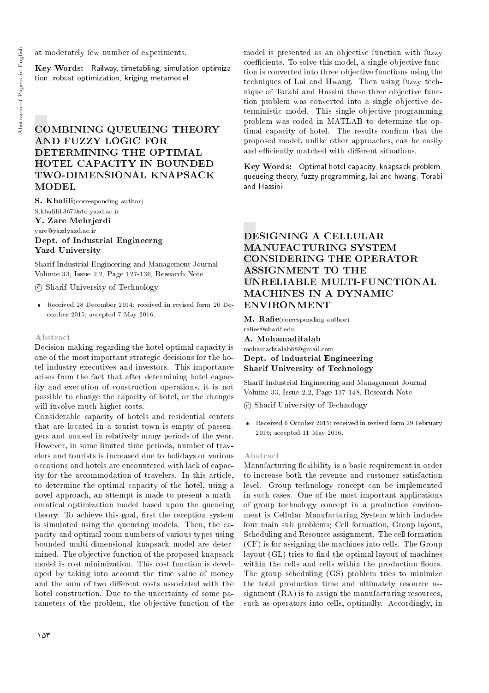at moderately few number of experiments.

Key Words: Railway, timetabling, simulation optimization, robust optimization, kriging metamodel.

# COMBINING QUEUEING THEORY AND FUZZY LOGIC FOR DETERMINING THE OPTIMAL HOTEL CAPACITY IN BOUNDED TWO-DIMENSIONAL KNAPSACK MODEL

S. Khalili(corresponding author)

S.khalili1367@stu.yazd.ac.ir Y. Zare Mehrjerdi yare@yazdyazd.ac.ir Dept. of Industrial Engineerng Yazd University

Sharif Industrial Engineering and Management Journal Volume 33, Issue 2.2, Page 127-136, Research Note

c Sharif University of Technology

 Received 28 December 2014; received in revised form 20 December 2015; accepted 7 May 2016.

#### Abstract

Decision making regarding the hotel optimal capacity is one of the most important strategic decisions for the hotel industry executives and investors. This importance arises from the fact that after determining hotel capacity and execution of construction operations, it is not possible to change the capacity of hotel, or the changes will involve much higher costs.

Considerable capacity of hotels and residential centers that are located in a tourist town is empty of passengers and unused in relatively many periods of the year. However, in some limited time periods, number of travelers and tourists is increased due to holidays or various occasions and hotels are encountered with lack of capacity for the accommodation of travelers. In this article, to determine the optimal capacity of the hotel, using a novel approach, an attempt is made to present a mathematical optimization model based upon the queueing theory. To achieve this goal, first the reception system is simulated using the queueing models. Then, the capacity and optimal room numbers of various types using bounded multi-dimensional knapsack model are determined. The objective function of the proposed knapsack model is cost minimization. This cost function is developed by taking into account the time value of money and the sum of two different costs associated with the hotel construction. Due to the uncertainty of some parameters of the problem, the objective function of the model is presented as an objective function with fuzzy coefficients. To solve this model, a single-objective function is converted into three objective functions using the techniques of Lai and Hwang. Then using fuzzy technique of Torabi and Hassini these three objective function problem was converted into a single objective deterministic model. This single objective programming problem was coded in MATLAB to determine the optimal capacity of hotel. The results confirm that the proposed model, unlike other approaches, can be easily and efficiently matched with different situations.

Key Words: Optimal hotel capacity, knapsack problem, queueing theory, fuzzy programming, lai and hwang, Torabi and Hassini.

# DESIGNING A CELLULAR MANUFACTURING SYSTEM CONSIDERING THE OPERATOR ASSIGNMENT TO THE UNRELIABLE MULTI-FUNCTIONAL MACHINES IN A DYNAMIC ENVIRONMENT

M. Rafie(corresponding author) raee@sharif.edu A. Mohamaditalab mohamaditalab88@gmail.com Dept. of industrial Engineering

Sharif University of Technology

Sharif Industrial Engineering and Management Journal Volume 33, Issue 2.2, Page 137-148, Research Note

c Sharif University of Technology

 Received 6 October 2015; received in revised form 29 February 2016; accepted 11 May 2016.

#### Abstract

Manufacturing flexibility is a basic requirement in order to increase both the revenue and customer satisfaction level. Group technology concept can be implemented in such cases. One of the most important applications of group technology concept in a production environment is Cellular Manufacturing System which includes four main sub problems; Cell formation, Group layout, Scheduling and Resource assignment. The cell formation (CF) is for assigning the machines into cells. The Group layout (GL) tries to find the optimal layout of machines within the cells and cells within the production floors. The group scheduling (GS) problem tries to minimize the total production time and ultimately resource assignment (RA) is to assign the manufacturing resources. such as operators into cells, optimally. Accordingly, in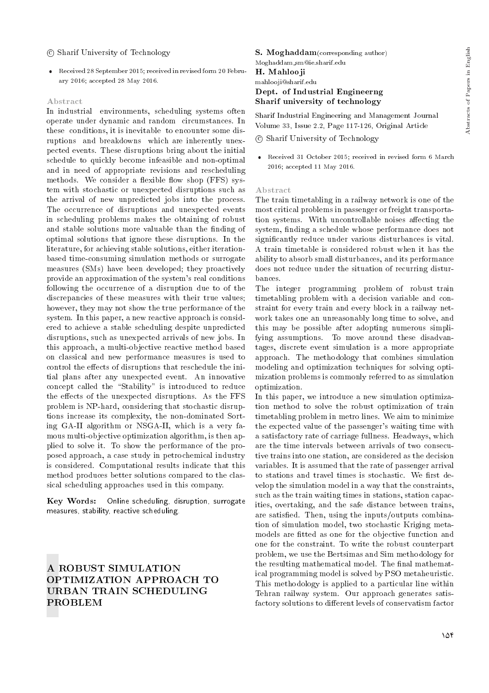## c Sharif University of Technology

 Received 28 September 2015; received in revised form 20 February 2016; accepted 28 May 2016.

#### Abstract

In industrial environments, scheduling systems often operate under dynamic and random circumstances. In these conditions, it is inevitable to encounter some disruptions and breakdowns which are inherently unexpected events. These disruptions bring about the initial schedule to quickly become infeasible and non-optimal and in need of appropriate revisions and rescheduling methods. We consider a flexible flow shop (FFS) system with stochastic or unexpected disruptions such as the arrival of new unpredicted jobs into the process. The occurrence of disruptions and unexpected events in scheduling problems makes the obtaining of robust and stable solutions more valuable than the finding of optimal solutions that ignore these disruptions. In the literature, for achieving stable solutions, either iterationbased time-consuming simulation methods or surrogate measures (SMs) have been developed; they proactively provide an approximation of the system's real conditions following the occurrence of a disruption due to of the discrepancies of these measures with their true values; however, they may not show the true performance of the system. In this paper, a new reactive approach is considered to achieve a stable scheduling despite unpredicted disruptions, such as unexpected arrivals of new jobs. In this approach, a multi-objective reactive method based on classical and new performance measures is used to control the effects of disruptions that reschedule the initial plans after any unexpected event. An innovative concept called the "Stability" is introduced to reduce the effects of the unexpected disruptions. As the FFS problem is NP-hard, considering that stochastic disruptions increase its complexity, the non-dominated Sorting GA-II algorithm or NSGA-II, which is a very famous multi-objective optimization algorithm, is then applied to solve it. To show the performance of the proposed approach, a case study in petrochemical industry is considered. Computational results indicate that this method produces better solutions compared to the classical scheduling approaches used in this company.

Key Words: Online scheduling, disruption, surrogate measures, stability, reactive scheduling.

## A ROBUST SIMULATION OPTIMIZATION APPROACH TO URBAN TRAIN SCHEDULING PROBLEM

#### S. Moghaddam(corresponding author) Moghaddam sm@ie.sharif.edu

H. Mahlooji

# mahlooji@sharif.edu

## Dept. of Industrial Engineerng Sharif university of technology

Sharif Industrial Engineering and Management Journal Volume 33, Issue 2.2, Page 117-126, Original Article

c Sharif University of Technology

 Received 31 October 2015; received in revised form 6 March 2016; accepted 11 May 2016.

#### Abstract

The train timetabling in a railway network is one of the most critical problems in passenger or freight transportation systems. With uncontrollable noises affecting the system, finding a schedule whose performance does not signicantly reduce under various disturbances is vital. A train timetable is considered robust when it has the ability to absorb small disturbances, and its performance does not reduce under the situation of recurring disturbances.

The integer programming problem of robust train timetabling problem with a decision variable and constraint for every train and every block in a railway network takes one an unreasonably long time to solve, and this may be possible after adopting numerous simplifying assumptions. To move around these disadvantages, discrete event simulation is a more appropriate approach. The methodology that combines simulation modeling and optimization techniques for solving optimization problems is commonly referred to as simulation optimization.

In this paper, we introduce a new simulation optimization method to solve the robust optimization of train timetabling problem in metro lines. We aim to minimize the expected value of the passenger's waiting time with a satisfactory rate of carriage fullness. Headways, which are the time intervals between arrivals of two consecutive trains into one station, are considered as the decision variables. It is assumed that the rate of passenger arrival to stations and travel times is stochastic. We first develop the simulation model in a way that the constraints, such as the train waiting times in stations, station capacities, overtaking, and the safe distance between trains, are satised. Then, using the inputs/outputs combination of simulation model, two stochastic Kriging metamodels are fitted as one for the objective function and one for the constraint. To write the robust counterpart problem, we use the Bertsimas and Sim methodology for the resulting mathematical model. The final mathematical programming model is solved by PSO metaheuristic. This methodology is applied to a particular line within Tehran railway system. Our approach generates satisfactory solutions to different levels of conservatism factor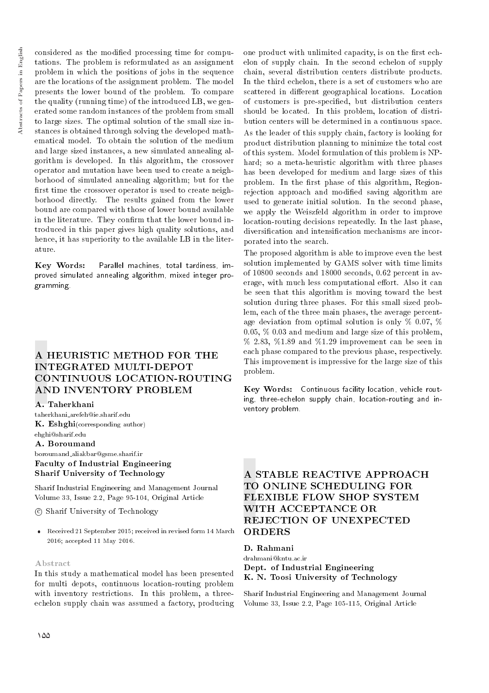considered as the modified processing time for computations. The problem is reformulated as an assignment problem in which the positions of jobs in the sequence are the locations of the assignment problem. The model presents the lower bound of the problem. To compare the quality (running time) of the introduced LB, we generated some random instances of the problem from small to large sizes. The optimal solution of the small size instances is obtained through solving the developed mathematical model. To obtain the solution of the medium and large sized instances, a new simulated annealing algorithm is developed. In this algorithm, the crossover operator and mutation have been used to create a neighborhood of simulated annealing algorithm; but for the first time the crossover operator is used to create neighborhood directly. The results gained from the lower bound are compared with those of lower bound available in the literature. They confirm that the lower bound introduced in this paper gives high quality solutions, and hence, it has superiority to the available LB in the literature.

Key Words: Parallel machines, total tardiness, improved simulated annealing algorithm, mixed integer programming.

# A HEURISTIC METHOD FOR THE INTEGRATED MULTI-DEPOT CONTINUOUS LOCATION-ROUTING AND INVENTORY PROBLEM

## A. Taherkhani

taherkhani arefeh@ie.sharif.edu K. Eshghi(corresponding author) ehghi@sharif.edu

## A. Boroumand

boroumand aliakbar@gsme.sharif.ir Faculty of Industrial Engineering Sharif University of Technology

Sharif Industrial Engineering and Management Journal Volume 33, Issue 2.2, Page 95-104, Original Article

c Sharif University of Technology

 Received 21 September 2015; received in revised form 14 March 2016; accepted 11 May 2016.

## Abstract

In this study a mathematical model has been presented for multi depots, continuous location-routing problem with inventory restrictions. In this problem, a threeechelon supply chain was assumed a factory, producing one product with unlimited capacity, is on the first echelon of supply chain. In the second echelon of supply chain, several distribution centers distribute products. In the third echelon, there is a set of customers who are scattered in different geographical locations. Location of customers is pre-specied, but distribution centers should be located. In this problem, location of distribution centers will be determined in a continuous space. As the leader of this supply chain, factory is looking for product distribution planning to minimize the total cost of this system. Model formulation of this problem is NPhard; so a meta-heuristic algorithm with three phases has been developed for medium and large sizes of this problem. In the first phase of this algorithm, Regionrejection approach and modied saving algorithm are used to generate initial solution. In the second phase, we apply the Weiszfeld algorithm in order to improve location-routing decisions repeatedly. In the last phase, diversification and intensification mechanisms are incorporated into the search.

The proposed algorithm is able to improve even the best solution implemented by GAMS solver with time limits of 10800 seconds and 18000 seconds, 0.62 percent in average, with much less computational effort. Also it can be seen that this algorithm is moving toward the best solution during three phases. For this small sized problem, each of the three main phases, the average percentage deviation from optimal solution is only % 0.07, % 0.05, % 0.03 and medium and large size of this problem,  $\%$  2.83,  $\%$ 1.89 and  $\%$ 1.29 improvement can be seen in each phase compared to the previous phase, respectively. This improvement is impressive for the large size of this problem.

Key Words: Continuous facility location, vehicle routing, three-echelon supply chain, location-routing and inventory problem.

# A STABLE REACTIVE APPROACH TO ONLINE SCHEDULING FOR FLEXIBLE FLOW SHOP SYSTEM WITH ACCEPTANCE OR REJECTION OF UNEXPECTED **ORDERS**

D. Rahmani

drahmani@kntu.ac.ir Dept. of Industrial Engineering K. N. Toosi University of Technology

Sharif Industrial Engineering and Management Journal Volume 33, Issue 2.2, Page 105-115, Original Article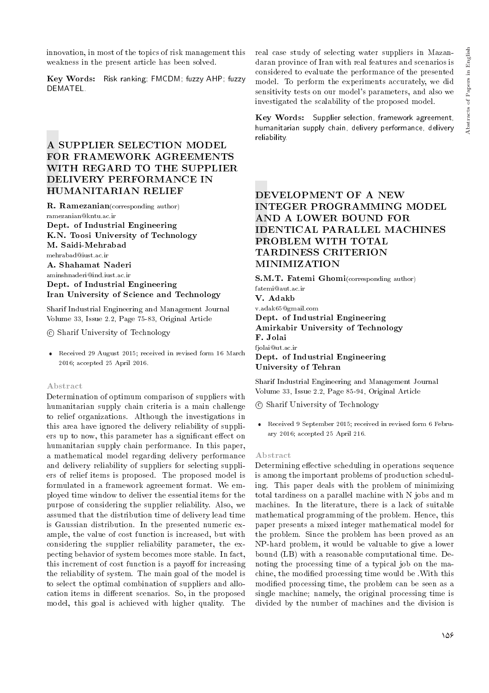innovation, in most of the topics of risk management this weakness in the present article has been solved.

Key Words: Risk ranking; FMCDM; fuzzy AHP; fuzzy **DEMATEL.** 

# A SUPPLIER SELECTION MODEL FOR FRAMEWORK AGREEMENTS WITH REGARD TO THE SUPPLIER DELIVERY PERFORMANCE IN HUMANITARIAN RELIEF

R. Ramezanian(corresponding author)

ramezanian@kntu.ac.ir Dept. of Industrial Engineering K.N. Toosi University of Technology M. Saidi-Mehrabad mehrabad@iust.ac.ir A. Shahamat Naderi aminshnaderi@ind.iust.ac.ir Dept. of Industrial Engineering Iran University of Science and Technology

Sharif Industrial Engineering and Management Journal Volume 33, Issue 2.2, Page 75-83, Original Article

c Sharif University of Technology

 Received 29 August 2015; received in revised form 16 March 2016; accepted 25 April 2016.

#### Abstract

Determination of optimum comparison of suppliers with humanitarian supply chain criteria is a main challenge to relief organizations. Although the investigations in this area have ignored the delivery reliability of suppliers up to now, this parameter has a significant effect on humanitarian supply chain performance. In this paper, a mathematical model regarding delivery performance and delivery reliability of suppliers for selecting suppliers of relief items is proposed. The proposed model is formulated in a framework agreement format. We employed time window to deliver the essential items for the purpose of considering the supplier reliability. Also, we assumed that the distribution time of delivery lead time is Gaussian distribution. In the presented numeric example, the value of cost function is increased, but with considering the supplier reliability parameter, the expecting behavior of system becomes more stable. In fact, this increment of cost function is a payoff for increasing the reliability of system. The main goal of the model is to select the optimal combination of suppliers and allocation items in different scenarios. So, in the proposed model, this goal is achieved with higher quality. The real case study of selecting water suppliers in Mazandaran province of Iran with real features and scenarios is considered to evaluate the performance of the presented model. To perform the experiments accurately, we did sensitivity tests on our model's parameters, and also we investigated the scalability of the proposed model.

Key Words: Supplier selection, framework agreement, humanitarian supply chain, delivery performance, delivery reliability.

# DEVELOPMENT OF A NEW INTEGER PROGRAMMING MODEL AND A LOWER BOUND FOR IDENTICAL PARALLEL MACHINES PROBLEM WITH TOTAL TARDINESS CRITERION MINIMIZATION

S.M.T. Fatemi Ghomi(corresponding author) fatemi@aut.ac.ir V. Adakb v.adak65@gmail.com Dept. of Industrial Engineering Amirkabir University of Technology F. Jolai fjolai@ut.ac.ir Dept. of Industrial Engineering University of Tehran

Sharif Industrial Engineering and Management Journal Volume 33, Issue 2.2, Page 85-94, Original Article

c Sharif University of Technology

 Received 9 September 2015; received in revised form 6 February 2016; accepted 25 April 216.

#### Abstract

Determining effective scheduling in operations sequence is among the important problems of production scheduling. This paper deals with the problem of minimizing total tardiness on a parallel machine with N jobs and m machines. In the literature, there is a lack of suitable mathematical programming of the problem. Hence, this paper presents a mixed integer mathematical model for the problem. Since the problem has been proved as an NP-hard problem, it would be valuable to give a lower bound (LB) with a reasonable computational time. Denoting the processing time of a typical job on the machine, the modied processing time would be .With this modied processing time, the problem can be seen as a single machine; namely, the original processing time is divided by the number of machines and the division is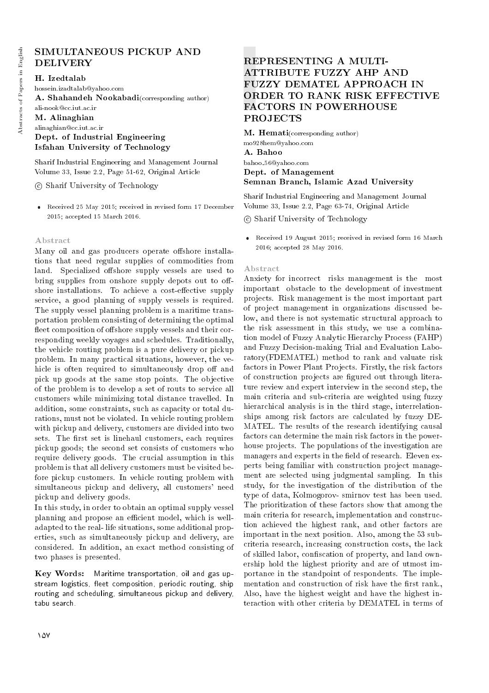# SIMULTANEOUS PICKUP AND DELIVERY

## H. Izedtalab

hossein.izadtalab@yahoo.com A. Shahandeh Nookabadi(corresponding author) ali-nook@cc.iut.ac.ir M. Alinaghian alinaghian@cc.iut.ac.ir Dept. of Industrial Engineering Isfahan University of Technology

Sharif Industrial Engineering and Management Journal Volume 33, Issue 2.2, Page 51-62, Original Article

c Sharif University of Technology

 Received 25 May 2015; received in revised form 17 December 2015; accepted 15 March 2016.

## Abstract

Many oil and gas producers operate offshore installations that need regular supplies of commodities from land. Specialized offshore supply vessels are used to bring supplies from onshore supply depots out to offshore installations. To achieve a cost-effective supply service, a good planning of supply vessels is required. The supply vessel planning problem is a maritime transportation problem consisting of determining the optimal fleet composition of offshore supply vessels and their corresponding weekly voyages and schedules. Traditionally, the vehicle routing problem is a pure delivery or pickup problem. In many practical situations, however, the vehicle is often required to simultaneously drop off and pick up goods at the same stop points. The objective of the problem is to develop a set of routs to service all customers while minimizing total distance travelled. In addition, some constraints, such as capacity or total durations, must not be violated. In vehicle routing problem with pickup and delivery, customers are divided into two sets. The first set is linehaul customers, each requires pickup goods; the second set consists of customers who require delivery goods. The crucial assumption in this problem is that all delivery customers must be visited before pickup customers. In vehicle routing problem with simultaneous pickup and delivery, all customers' need pickup and delivery goods.

In this study, in order to obtain an optimal supply vessel planning and propose an efficient model, which is welladapted to the real- life situations, some additional properties, such as simultaneously pickup and delivery, are considered. In addition, an exact method consisting of two phases is presented.

Key Words: Maritime transportation, oil and gas upstream logistics, fleet composition, periodic routing, ship routing and scheduling, simultaneous pickup and delivery, tabu search.

# REPRESENTING A MULTI-ATTRIBUTE FUZZY AHP AND FUZZY DEMATEL APPROACH IN ORDER TO RANK RISK EFFECTIVE FACTORS IN POWERHOUSE PROJECTS

M. Hemati(corresponding author) mo928hem@yahoo.com A. Bahoo bahoo 56@yahoo.com Dept. of Management Semnan Branch, Islamic Azad University

Sharif Industrial Engineering and Management Journal Volume 33, Issue 2.2, Page 63-74, Original Article

c Sharif University of Technology

 Received 19 August 2015; received in revised form 16 March 2016; accepted 28 May 2016.

### Abstract

Anxiety for incorrect risks management is the most important obstacle to the development of investment projects. Risk management is the most important part of project management in organizations discussed below, and there is not systematic structural approach to the risk assessment in this study, we use a combination model of Fuzzy Analytic Hierarchy Process (FAHP) and Fuzzy Decision-making Trial and Evaluation Laboratory(FDEMATEL) method to rank and valuate risk factors in Power Plant Projects. Firstly, the risk factors of construction projects are figured out through literature review and expert interview in the second step, the main criteria and sub-criteria are weighted using fuzzy hierarchical analysis is in the third stage, interrelationships among risk factors are calculated by fuzzy DE-MATEL. The results of the research identifying causal factors can determine the main risk factors in the powerhouse projects. The populations of the investigation are managers and experts in the field of research. Eleven experts being familiar with construction project management are selected using judgmental sampling. In this study, for the investigation of the distribution of the type of data, Kolmogorov- smirnov test has been used. The prioritization of these factors show that among the main criteria for research, implementation and construction achieved the highest rank, and other factors are important in the next position. Also, among the 53 subcriteria research, increasing construction costs, the lack of skilled labor, conscation of property, and land ownership hold the highest priority and are of utmost importance in the standpoint of respondents. The implementation and construction of risk have the first rank., Also, have the highest weight and have the highest interaction with other criteria by DEMATEL in terms of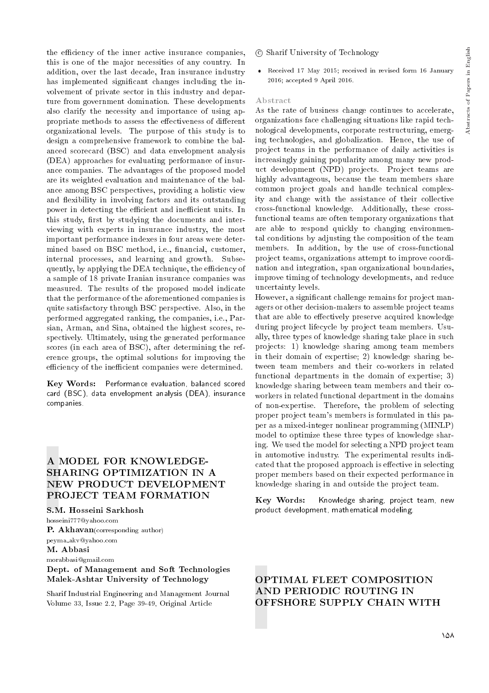the efficiency of the inner active insurance companies, this is one of the major necessities of any country. In addition, over the last decade, Iran insurance industry has implemented significant changes including the involvement of private sector in this industry and departure from government domination. These developments also clarify the necessity and importance of using appropriate methods to assess the effectiveness of different organizational levels. The purpose of this study is to design a comprehensive framework to combine the balanced scorecard (BSC) and data envelopment analysis (DEA) approaches for evaluating performance of insurance companies. The advantages of the proposed model are its weighted evaluation and maintenance of the balance among BSC perspectives, providing a holistic view and flexibility in involving factors and its outstanding power in detecting the efficient and inefficient units. In this study, first by studying the documents and interviewing with experts in insurance industry, the most important performance indexes in four areas were determined based on BSC method, i.e., financial, customer, internal processes, and learning and growth. Subsequently, by applying the DEA technique, the efficiency of a sample of 18 private Iranian insurance companies was measured. The results of the proposed model indicate that the performance of the aforementioned companies is quite satisfactory through BSC perspective. Also, in the performed aggregated ranking, the companies, i.e., Parsian, Arman, and Sina, obtained the highest scores, respectively. Ultimately, using the generated performance scores (in each area of BSC), after determining the reference groups, the optimal solutions for improving the efficiency of the inefficient companies were determined.

Key Words: Performance evaluation, balanced scored card (BSC), data envelopment analysis (DEA), insurance companies.

## A MODEL FOR KNOWLEDGE-SHARING OPTIMIZATION IN A NEW PRODUCT DEVELOPMENT PROJECT TEAM FORMATION

S.M. Hosseini Sarkhosh

hosseini777@yahoo.com P. Akhavan(corresponding author) peyma akv@yahoo.com

#### M. Abbasi

#### morabbasi@gmail.com

## Dept. of Management and Soft Technologies Malek-Ashtar University of Technology

Sharif Industrial Engineering and Management Journal Volume 33, Issue 2.2, Page 39-49, Original Article

- c Sharif University of Technology
- Received 17 May 2015; received in revised form 16 January 2016; accepted 9 April 2016.

#### Abstract

As the rate of business change continues to accelerate, organizations face challenging situations like rapid technological developments, corporate restructuring, emerging technologies, and globalization. Hence, the use of project teams in the performance of daily activities is increasingly gaining popularity among many new product development (NPD) projects. Project teams are highly advantageous, because the team members share common project goals and handle technical complexity and change with the assistance of their collective cross-functional knowledge. Additionally, these crossfunctional teams are often temporary organizations that are able to respond quickly to changing environmental conditions by adjusting the composition of the team members. In addition, by the use of cross-functional project teams, organizations attempt to improve coordination and integration, span organizational boundaries, improve timing of technology developments, and reduce uncertainty levels.

However, a signicant challenge remains for project managers or other decision-makers to assemble project teams that are able to effectively preserve acquired knowledge during project lifecycle by project team members. Usually, three types of knowledge sharing take place in such projects: 1) knowledge sharing among team members in their domain of expertise; 2) knowledge sharing between team members and their co-workers in related functional departments in the domain of expertise; 3) knowledge sharing between team members and their coworkers in related functional department in the domains of non-expertise. Therefore, the problem of selecting proper project team's members is formulated in this paper as a mixed-integer nonlinear programming (MINLP) model to optimize these three types of knowledge sharing. We used the model for selecting a NPD project team in automotive industry. The experimental results indicated that the proposed approach is effective in selecting proper members based on their expected performance in knowledge sharing in and outside the project team.

Key Words: Knowledge sharing, project team, new product development, mathematical modeling.

## OPTIMAL FLEET COMPOSITION AND PERIODIC ROUTING IN OFFSHORE SUPPLY CHAIN WITH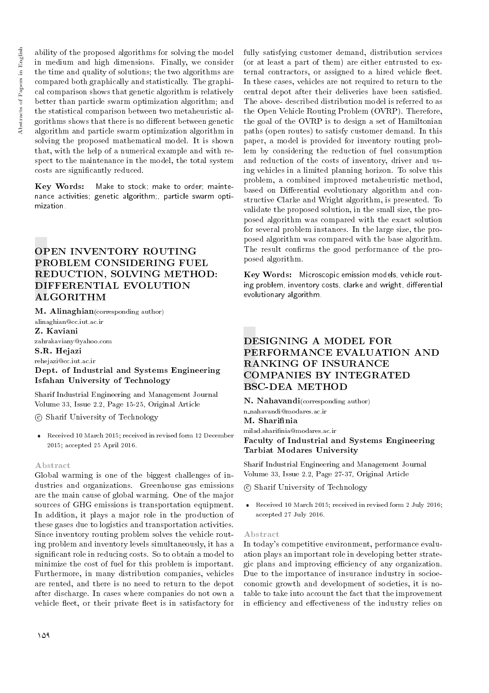ability of the proposed algorithms for solving the model in medium and high dimensions. Finally, we consider the time and quality of solutions; the two algorithms are compared both graphically and statistically. The graphical comparison shows that genetic algorithm is relatively better than particle swarm optimization algorithm; and the statistical comparison between two metaheuristic algorithms shows that there is no different between genetic algorithm and particle swarm optimization algorithm in solving the proposed mathematical model. It is shown that, with the help of a numerical example and with respect to the maintenance in the model, the total system costs are signicantly reduced.

Key Words: Make to stock; make to order; maintenance activities; genetic algorithm;, particle swarm optimization.

# OPEN INVENTORY ROUTING PROBLEM CONSIDERING FUEL REDUCTION, SOLVING METHOD: DIFFERENTIAL EVOLUTION ALGORITHM

M. Alinaghian(corresponding author) alinaghian@cc.iut.ac.ir

Z. Kaviani

zahrakaviany@yahoo.com S.R. Hejazi

rehejazi@cc.iut.ac.ir

## Dept. of Industrial and Systems Engineering Isfahan University of Technology

Sharif Industrial Engineering and Management Journal Volume 33, Issue 2.2, Page 15-25, Original Article

c Sharif University of Technology

 Received 10 March 2015; received in revised form 12 December 2015; accepted 25 April 2016.

## Abstract

Global warming is one of the biggest challenges of industries and organizations. Greenhouse gas emissions are the main cause of global warming. One of the major sources of GHG emissions is transportation equipment. In addition, it plays a major role in the production of these gases due to logistics and transportation activities. Since inventory routing problem solves the vehicle routing problem and inventory levels simultaneously, it has a signicant role in reducing costs. So to obtain a model to minimize the cost of fuel for this problem is important. Furthermore, in many distribution companies, vehicles are rented, and there is no need to return to the depot after discharge. In cases where companies do not own a vehicle fleet, or their private fleet is in satisfactory for

fully satisfying customer demand, distribution services (or at least a part of them) are either entrusted to external contractors, or assigned to a hired vehicle fleet. In these cases, vehicles are not required to return to the central depot after their deliveries have been satisfied. The above- described distribution model is referred to as the Open Vehicle Routing Problem (OVRP). Therefore, the goal of the OVRP is to design a set of Hamiltonian paths (open routes) to satisfy customer demand. In this paper, a model is provided for inventory routing problem by considering the reduction of fuel consumption and reduction of the costs of inventory, driver and using vehicles in a limited planning horizon. To solve this problem, a combined improved metaheuristic method, based on Differential evolutionary algorithm and constructive Clarke and Wright algorithm, is presented. To validate the proposed solution, in the small size, the proposed algorithm was compared with the exact solution for several problem instances. In the large size, the proposed algorithm was compared with the base algorithm. The result confirms the good performance of the proposed algorithm.

Key Words: Microscopic emission models, vehicle routing problem, inventory costs, clarke and wright, differential evolutionary algorithm.

# DESIGNING A MODEL FOR PERFORMANCE EVALUATION AND RANKING OF INSURANCE COMPANIES BY INTEGRATED BSC-DEA METHOD

N. Nahavandi(corresponding author) n nahavandi@modares.ac.ir

M. Sharifinia

milad.sharinia@modares.ac.ir Faculty of Industrial and Systems Engineering Tarbiat Modares University

Sharif Industrial Engineering and Management Journal Volume 33, Issue 2.2, Page 27-37, Original Article

c Sharif University of Technology

• Received 10 March 2015; received in revised form 2 July 2016; accepted 27 July 2016.

#### Abstract

In today's competitive environment, performance evaluation plays an important role in developing better strategic plans and improving efficiency of any organization. Due to the importance of insurance industry in socioeconomic growth and development of societies, it is notable to take into account the fact that the improvement in efficiency and effectiveness of the industry relies on